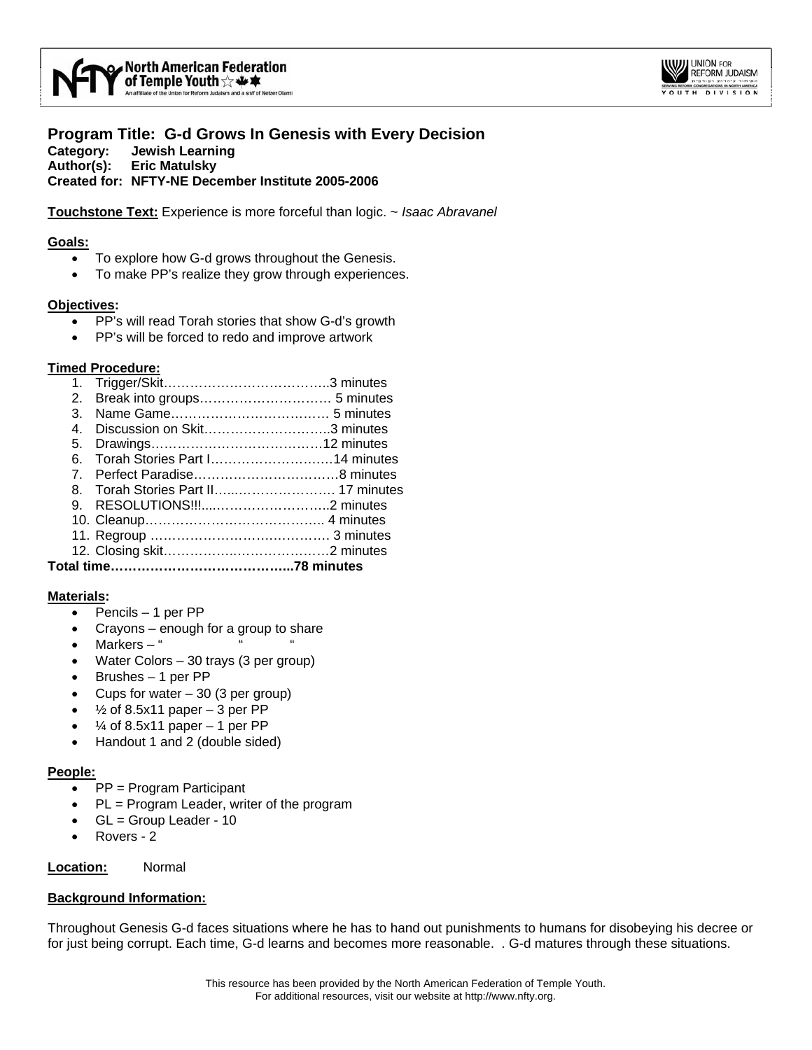



**Program Title: G-d Grows In Genesis with Every Decision Category: Jewish Learning Author(s): Eric Matulsky Created for: NFTY-NE December Institute 2005-2006** 

**Touchstone Text:** Experience is more forceful than logic. ~ *Isaac Abravanel*

#### **Goals:**

- To explore how G-d grows throughout the Genesis.
- To make PP's realize they grow through experiences.

### **Objectives:**

- PP's will read Torah stories that show G-d's growth
- PP's will be forced to redo and improve artwork

### **Timed Procedure:**

1. Trigger/Skit………………………………..3 minutes 2. Break into groups………………………… 5 minutes 3. Name Game……………………………… 5 minutes 4. Discussion on Skit………………………..3 minutes 5. Drawings…………………………………12 minutes 6. Torah Stories Part I…………………….…14 minutes 7. Perfect Paradise……………………………8 minutes 8. Torah Stories Part II…...…………………. 17 minutes 9. RESOLUTIONS!!!....……………………..2 minutes 10. Cleanup………………………………….. 4 minutes 11. Regroup ……………………….…………. 3 minutes 12. Closing skit……………..…………………2 minutes **Total time…………………………………...78 minutes** 

## **Materials:**

- Pencils 1 per PP
- Crayons enough for a group to share
- Markers  $-$  "
- Water Colors 30 trays (3 per group)
- Brushes 1 per PP
- Cups for water  $-30$  (3 per group)
- $\frac{1}{2}$  of 8.5x11 paper 3 per PP
- $\frac{1}{4}$  of 8.5x11 paper 1 per PP
- Handout 1 and 2 (double sided)

## **People:**

- PP = Program Participant
- PL = Program Leader, writer of the program
- GL = Group Leader 10
- Rovers 2

**Location:** Normal

# **Background Information:**

Throughout Genesis G-d faces situations where he has to hand out punishments to humans for disobeying his decree or for just being corrupt. Each time, G-d learns and becomes more reasonable. . G-d matures through these situations.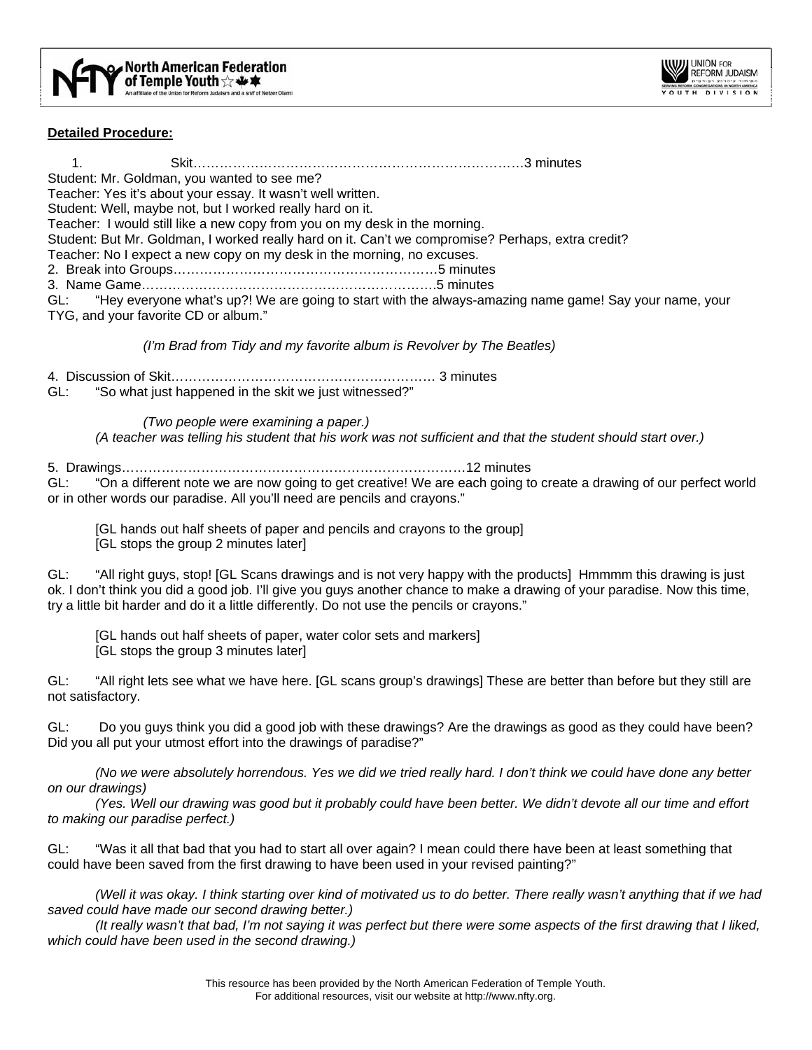

## **Detailed Procedure:**

1. Skit…………………………………………………………………3 minutes Student: Mr. Goldman, you wanted to see me? Teacher: Yes it's about your essay. It wasn't well written. Student: Well, maybe not, but I worked really hard on it. Teacher: I would still like a new copy from you on my desk in the morning. Student: But Mr. Goldman, I worked really hard on it. Can't we compromise? Perhaps, extra credit? Teacher: No I expect a new copy on my desk in the morning, no excuses. 2. Break into Groups……………………………………………………5 minutes 3. Name Game………………………………………………………….5 minutes GL: "Hey everyone what's up?! We are going to start with the always-amazing name game! Say your name, your TYG, and your favorite CD or album."

*(I'm Brad from Tidy and my favorite album is Revolver by The Beatles)* 

4. Discussion of Skit…………………………………………………… 3 minutes

GL: "So what just happened in the skit we just witnessed?"

*(Two people were examining a paper.)* 

 *(A teacher was telling his student that his work was not sufficient and that the student should start over.)* 

5. Drawings……………………………………………………………………12 minutes

GL: "On a different note we are now going to get creative! We are each going to create a drawing of our perfect world or in other words our paradise. All you'll need are pencils and crayons."

[GL hands out half sheets of paper and pencils and crayons to the group]

[GL stops the group 2 minutes later]

GL: "All right guys, stop! [GL Scans drawings and is not very happy with the products] Hmmmm this drawing is just ok. I don't think you did a good job. I'll give you guys another chance to make a drawing of your paradise. Now this time, try a little bit harder and do it a little differently. Do not use the pencils or crayons."

[GL hands out half sheets of paper, water color sets and markers]

[GL stops the group 3 minutes later]

GL: "All right lets see what we have here. [GL scans group's drawings] These are better than before but they still are not satisfactory.

GL: Do you guys think you did a good job with these drawings? Are the drawings as good as they could have been? Did you all put your utmost effort into the drawings of paradise?"

*(No we were absolutely horrendous. Yes we did we tried really hard. I don't think we could have done any better on our drawings)* 

 *(Yes. Well our drawing was good but it probably could have been better. We didn't devote all our time and effort to making our paradise perfect.)* 

GL: "Was it all that bad that you had to start all over again? I mean could there have been at least something that could have been saved from the first drawing to have been used in your revised painting?"

*(Well it was okay. I think starting over kind of motivated us to do better. There really wasn't anything that if we had saved could have made our second drawing better.)* 

 *(It really wasn't that bad, I'm not saying it was perfect but there were some aspects of the first drawing that I liked, which could have been used in the second drawing.)*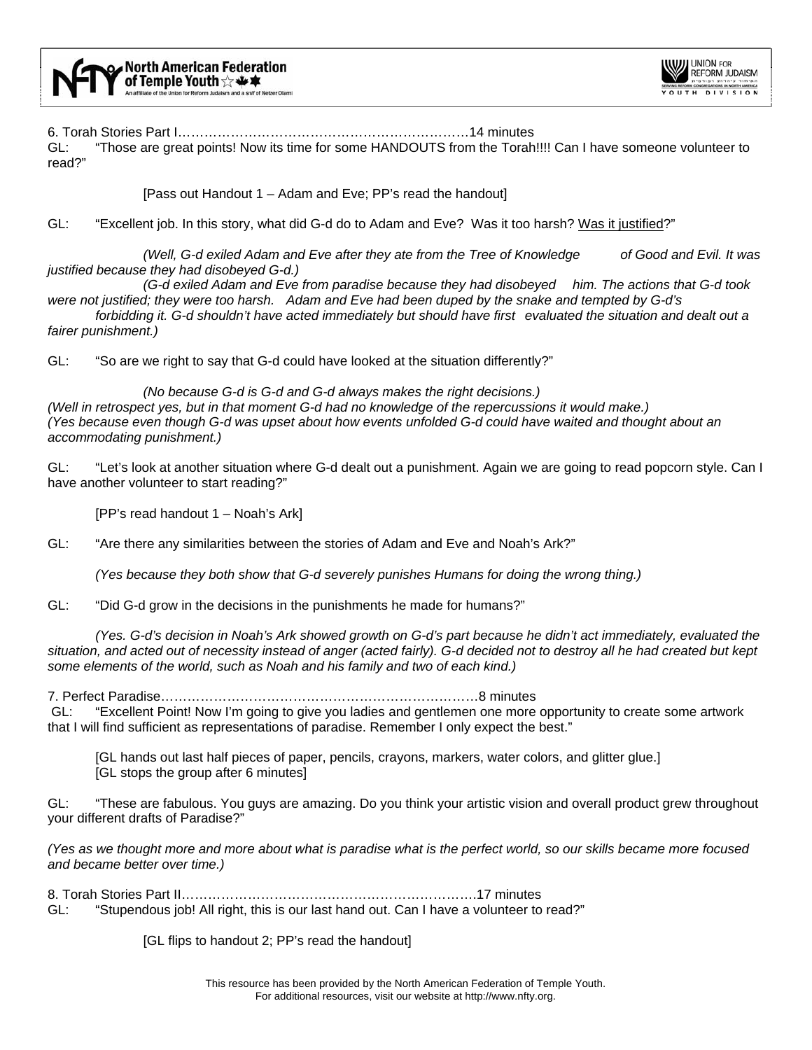

6. Torah Stories Part I…………………………………………………………14 minutes

GL: "Those are great points! Now its time for some HANDOUTS from the Torah!!!! Can I have someone volunteer to read?"

[Pass out Handout 1 – Adam and Eve; PP's read the handout]

GL: "Excellent job. In this story, what did G-d do to Adam and Eve? Was it too harsh? Was it justified?"

*(Well, G-d exiled Adam and Eve after they ate from the Tree of Knowledge of Good and Evil. It was justified because they had disobeyed G-d.)* 

 *(G-d exiled Adam and Eve from paradise because they had disobeyed him. The actions that G-d took were not justified; they were too harsh. Adam and Eve had been duped by the snake and tempted by G-d's* 

 *forbidding it. G-d shouldn't have acted immediately but should have first evaluated the situation and dealt out a fairer punishment.)* 

GL: "So are we right to say that G-d could have looked at the situation differently?"

 *(No because G-d is G-d and G-d always makes the right decisions.) (Well in retrospect yes, but in that moment G-d had no knowledge of the repercussions it would make.) (Yes because even though G-d was upset about how events unfolded G-d could have waited and thought about an accommodating punishment.)* 

GL: "Let's look at another situation where G-d dealt out a punishment. Again we are going to read popcorn style. Can I have another volunteer to start reading?"

[PP's read handout 1 – Noah's Ark]

GL: "Are there any similarities between the stories of Adam and Eve and Noah's Ark?"

*(Yes because they both show that G-d severely punishes Humans for doing the wrong thing.)*

GL: "Did G-d grow in the decisions in the punishments he made for humans?"

*(Yes. G-d's decision in Noah's Ark showed growth on G-d's part because he didn't act immediately, evaluated the situation, and acted out of necessity instead of anger (acted fairly). G-d decided not to destroy all he had created but kept some elements of the world, such as Noah and his family and two of each kind.)*

7. Perfect Paradise………………………………………………………………8 minutes

 GL: "Excellent Point! Now I'm going to give you ladies and gentlemen one more opportunity to create some artwork that I will find sufficient as representations of paradise. Remember I only expect the best."

 [GL hands out last half pieces of paper, pencils, crayons, markers, water colors, and glitter glue.] [GL stops the group after 6 minutes]

GL: "These are fabulous. You guys are amazing. Do you think your artistic vision and overall product grew throughout your different drafts of Paradise?"

*(Yes as we thought more and more about what is paradise what is the perfect world, so our skills became more focused and became better over time.)*

8. Torah Stories Part II………………………………………………………….17 minutes GL: "Stupendous job! All right, this is our last hand out. Can I have a volunteer to read?"

[GL flips to handout 2; PP's read the handout]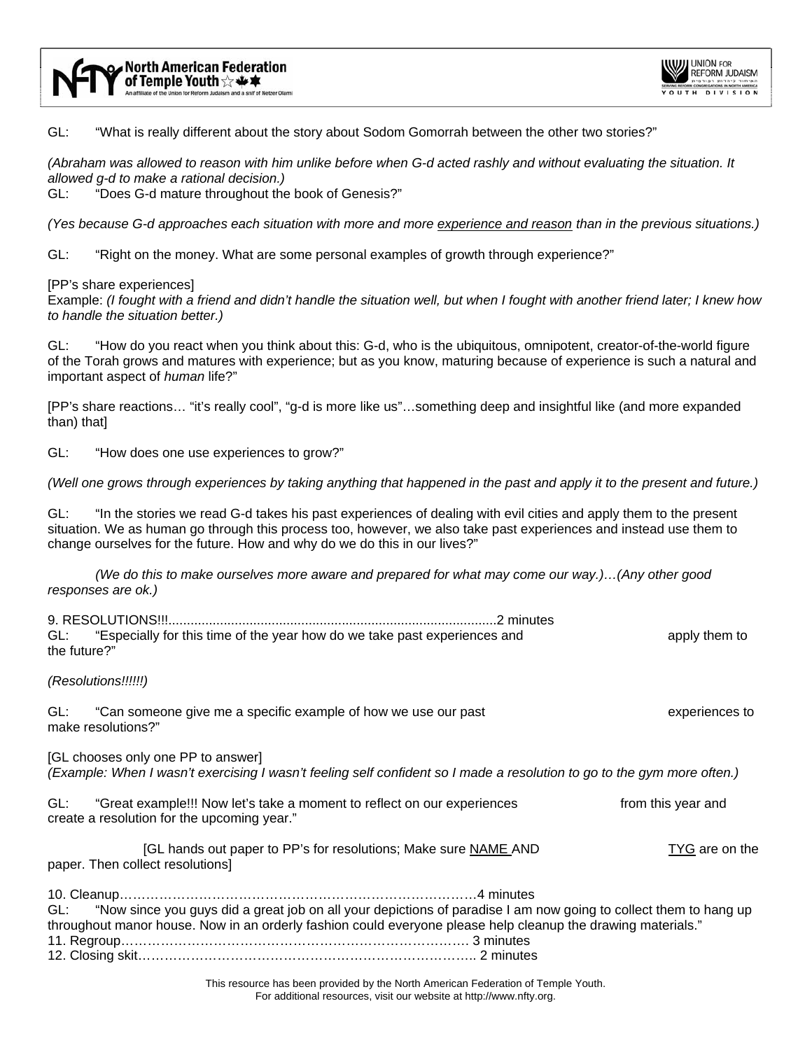

GL: "What is really different about the story about Sodom Gomorrah between the other two stories?"

*(Abraham was allowed to reason with him unlike before when G-d acted rashly and without evaluating the situation. It allowed g-d to make a rational decision.)*

GL: "Does G-d mature throughout the book of Genesis?"

*(Yes because G-d approaches each situation with more and more experience and reason than in the previous situations.)* 

GL: "Right on the money. What are some personal examples of growth through experience?"

[PP's share experiences]

Example: *(I fought with a friend and didn't handle the situation well, but when I fought with another friend later; I knew how to handle the situation better.)* 

GL: "How do you react when you think about this: G-d, who is the ubiquitous, omnipotent, creator-of-the-world figure of the Torah grows and matures with experience; but as you know, maturing because of experience is such a natural and important aspect of *human* life?"

[PP's share reactions… "it's really cool", "g-d is more like us"…something deep and insightful like (and more expanded than) that]

GL: "How does one use experiences to grow?"

*(Well one grows through experiences by taking anything that happened in the past and apply it to the present and future.)* 

GL: "In the stories we read G-d takes his past experiences of dealing with evil cities and apply them to the present situation. We as human go through this process too, however, we also take past experiences and instead use them to change ourselves for the future. How and why do we do this in our lives?"

*(We do this to make ourselves more aware and prepared for what may come our way.)…(Any other good responses are ok.)* 

| the future?"                                                                                                                                                                                                                            | GL: "Especially for this time of the year how do we take past experiences and                                          |  | apply them to      |
|-----------------------------------------------------------------------------------------------------------------------------------------------------------------------------------------------------------------------------------------|------------------------------------------------------------------------------------------------------------------------|--|--------------------|
|                                                                                                                                                                                                                                         | (Resolutions!!!!!!)                                                                                                    |  |                    |
| GL:                                                                                                                                                                                                                                     | "Can someone give me a specific example of how we use our past<br>make resolutions?"                                   |  | experiences to     |
| [GL chooses only one PP to answer]<br>(Example: When I wasn't exercising I wasn't feeling self confident so I made a resolution to go to the gym more often.)                                                                           |                                                                                                                        |  |                    |
| GL:                                                                                                                                                                                                                                     | "Great example!!! Now let's take a moment to reflect on our experiences<br>create a resolution for the upcoming year." |  | from this year and |
|                                                                                                                                                                                                                                         | [GL hands out paper to PP's for resolutions; Make sure NAME AND<br>paper. Then collect resolutions]                    |  | TYG are on the     |
|                                                                                                                                                                                                                                         |                                                                                                                        |  |                    |
| "Now since you guys did a great job on all your depictions of paradise I am now going to collect them to hang up<br>GL:<br>throughout manor house. Now in an orderly fashion could everyone please help cleanup the drawing materials." |                                                                                                                        |  |                    |
|                                                                                                                                                                                                                                         |                                                                                                                        |  |                    |
|                                                                                                                                                                                                                                         | in the contract of the contract of the contract of the contract of the contract of the contract of the contract of     |  |                    |

This resource has been provided by the North American Federation of Temple Youth. For additional resources, visit our website at http://www.nfty.org.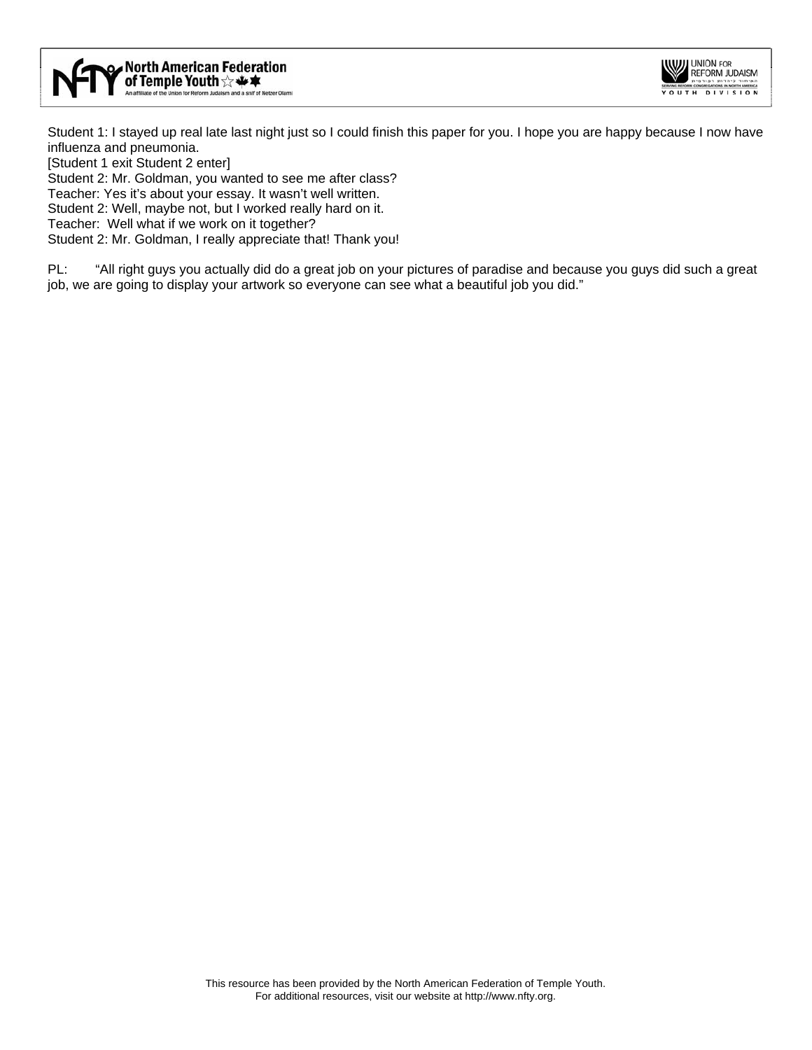



Student 1: I stayed up real late last night just so I could finish this paper for you. I hope you are happy because I now have influenza and pneumonia.

[Student 1 exit Student 2 enter]

Student 2: Mr. Goldman, you wanted to see me after class?

Teacher: Yes it's about your essay. It wasn't well written.

Student 2: Well, maybe not, but I worked really hard on it.

Teacher: Well what if we work on it together?

Student 2: Mr. Goldman, I really appreciate that! Thank you!

PL: "All right guys you actually did do a great job on your pictures of paradise and because you guys did such a great job, we are going to display your artwork so everyone can see what a beautiful job you did."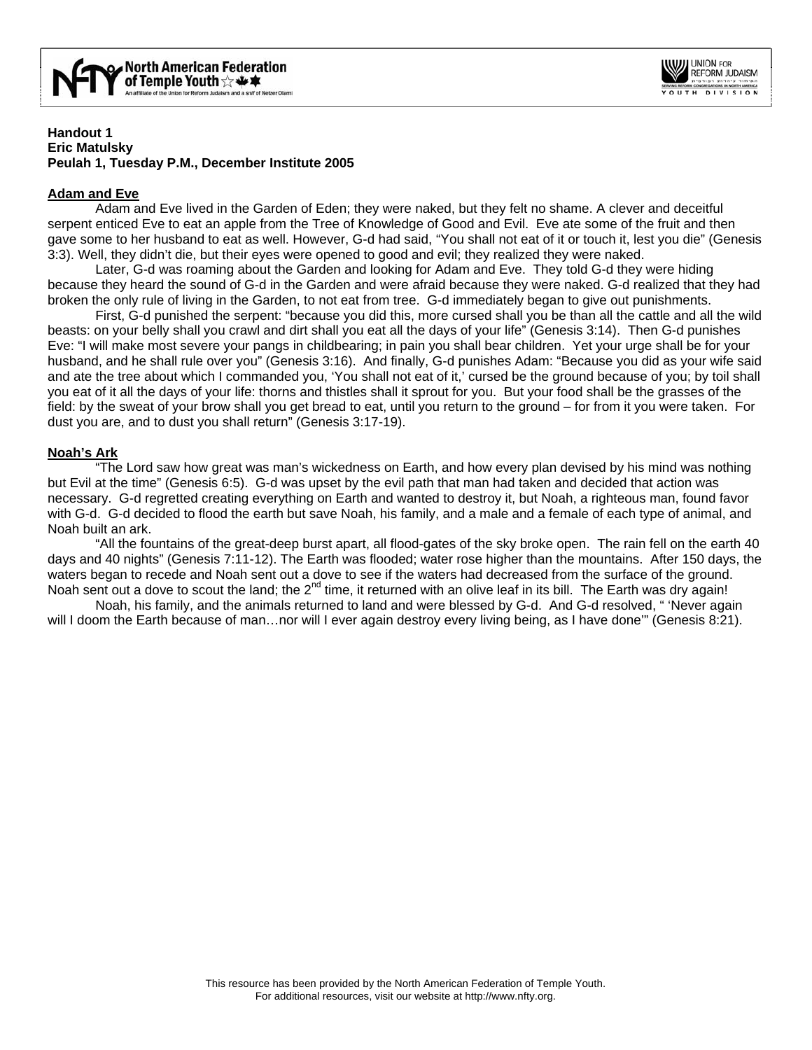

## **Handout 1 Eric Matulsky Peulah 1, Tuesday P.M., December Institute 2005**

# **Adam and Eve**

 Adam and Eve lived in the Garden of Eden; they were naked, but they felt no shame. A clever and deceitful serpent enticed Eve to eat an apple from the Tree of Knowledge of Good and Evil. Eve ate some of the fruit and then gave some to her husband to eat as well. However, G-d had said, "You shall not eat of it or touch it, lest you die" (Genesis 3:3). Well, they didn't die, but their eyes were opened to good and evil; they realized they were naked.

 Later, G-d was roaming about the Garden and looking for Adam and Eve. They told G-d they were hiding because they heard the sound of G-d in the Garden and were afraid because they were naked. G-d realized that they had broken the only rule of living in the Garden, to not eat from tree. G-d immediately began to give out punishments.

 First, G-d punished the serpent: "because you did this, more cursed shall you be than all the cattle and all the wild beasts: on your belly shall you crawl and dirt shall you eat all the days of your life" (Genesis 3:14). Then G-d punishes Eve: "I will make most severe your pangs in childbearing; in pain you shall bear children. Yet your urge shall be for your husband, and he shall rule over you" (Genesis 3:16). And finally, G-d punishes Adam: "Because you did as your wife said and ate the tree about which I commanded you, 'You shall not eat of it,' cursed be the ground because of you; by toil shall you eat of it all the days of your life: thorns and thistles shall it sprout for you. But your food shall be the grasses of the field: by the sweat of your brow shall you get bread to eat, until you return to the ground – for from it you were taken. For dust you are, and to dust you shall return" (Genesis 3:17-19).

# **Noah's Ark**

"The Lord saw how great was man's wickedness on Earth, and how every plan devised by his mind was nothing but Evil at the time" (Genesis 6:5). G-d was upset by the evil path that man had taken and decided that action was necessary. G-d regretted creating everything on Earth and wanted to destroy it, but Noah, a righteous man, found favor with G-d. G-d decided to flood the earth but save Noah, his family, and a male and a female of each type of animal, and Noah built an ark.

 "All the fountains of the great-deep burst apart, all flood-gates of the sky broke open. The rain fell on the earth 40 days and 40 nights" (Genesis 7:11-12). The Earth was flooded; water rose higher than the mountains. After 150 days, the waters began to recede and Noah sent out a dove to see if the waters had decreased from the surface of the ground. Noah sent out a dove to scout the land; the  $2^{nd}$  time, it returned with an olive leaf in its bill. The Earth was dry again!

 Noah, his family, and the animals returned to land and were blessed by G-d. And G-d resolved, " 'Never again will I doom the Earth because of man...nor will I ever again destroy every living being, as I have done" (Genesis 8:21).